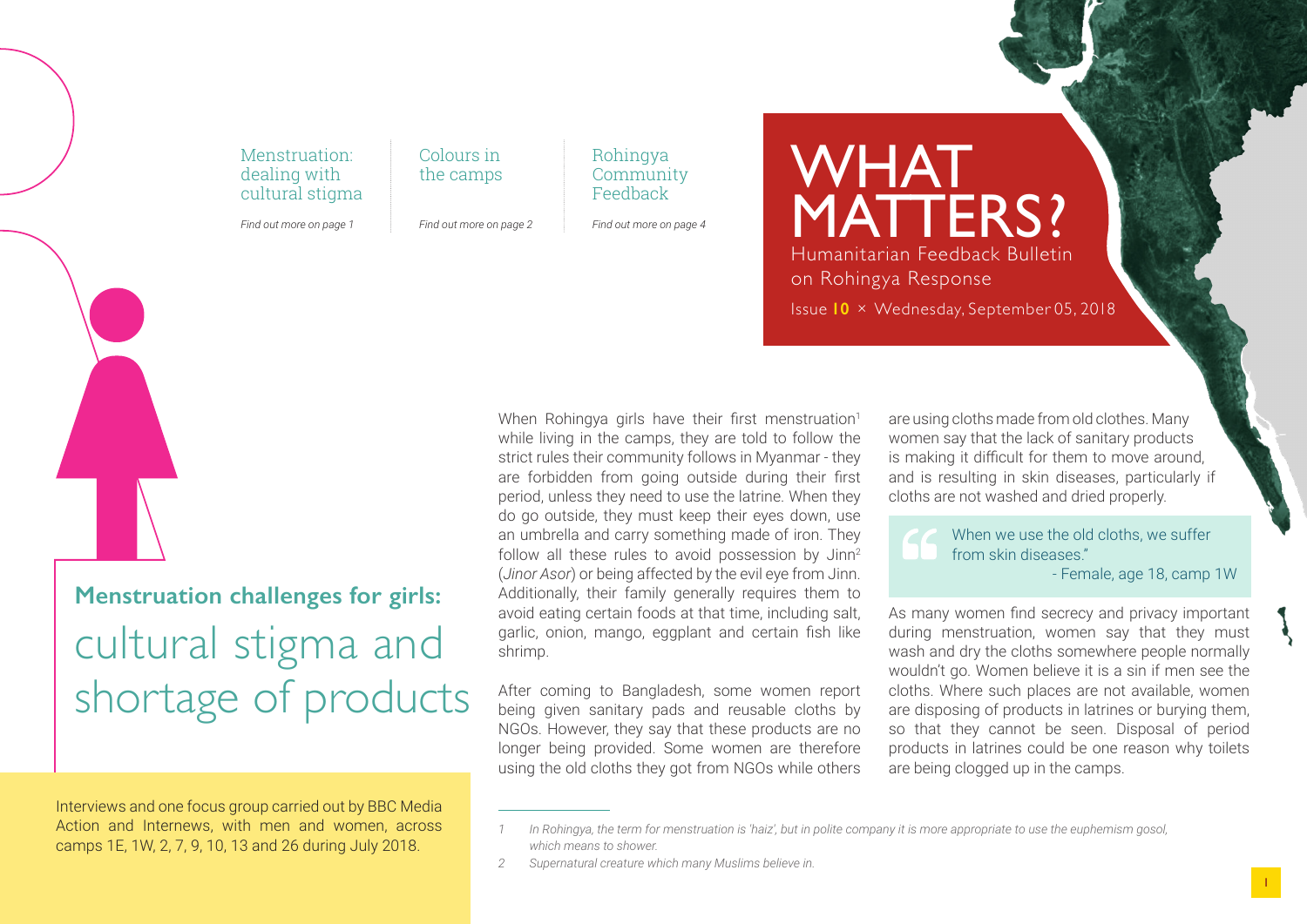Menstruation: dealing with cultural stigma

*Find out more on page 1*

Colours in the camps

*Find out more on page 2*

Rohingya **Community** Feedback

*Find out more on page 4*

**WHAT** MATTERS? Humanitarian Feedback Bulletin on Rohingya Response Issue **10** × Wednesday, September 05, 2018

# **Menstruation challenges for girls:** cultural stigma and shortage of products

Interviews and one focus group carried out by BBC Media Action and Internews, with men and women, across camps 1E, 1W, 2, 7, 9, 10, 13 and 26 during July 2018.

When Rohingya girls have their first menstruation<sup>1</sup> while living in the camps, they are told to follow the strict rules their community follows in Myanmar - they are forbidden from going outside during their first period, unless they need to use the latrine. When they do go outside, they must keep their eyes down, use an umbrella and carry something made of iron. They follow all these rules to avoid possession by Jinn<sup>2</sup> (*Jinor Asor*) or being affected by the evil eye from Jinn. Additionally, their family generally requires them to avoid eating certain foods at that time, including salt, garlic, onion, mango, eggplant and certain fish like shrimp.

After coming to Bangladesh, some women report being given sanitary pads and reusable cloths by NGOs. However, they say that these products are no longer being provided. Some women are therefore using the old cloths they got from NGOs while others are using cloths made from old clothes. Many women say that the lack of sanitary products is making it difficult for them to move around, and is resulting in skin diseases, particularly if cloths are not washed and dried properly.

When we use the old cloths, we suffer from skin diseases." - Female, age 18, camp 1W

As many women find secrecy and privacy important during menstruation, women say that they must wash and dry the cloths somewhere people normally wouldn't go. Women believe it is a sin if men see the cloths. Where such places are not available, women are disposing of products in latrines or burying them, so that they cannot be seen. Disposal of period products in latrines could be one reason why toilets are being clogged up in the camps.

*<sup>1</sup> In Rohingya, the term for menstruation is 'haiz', but in polite company it is more appropriate to use the euphemism gosol, which means to shower.*

*<sup>2</sup> Supernatural creature which many Muslims believe in.*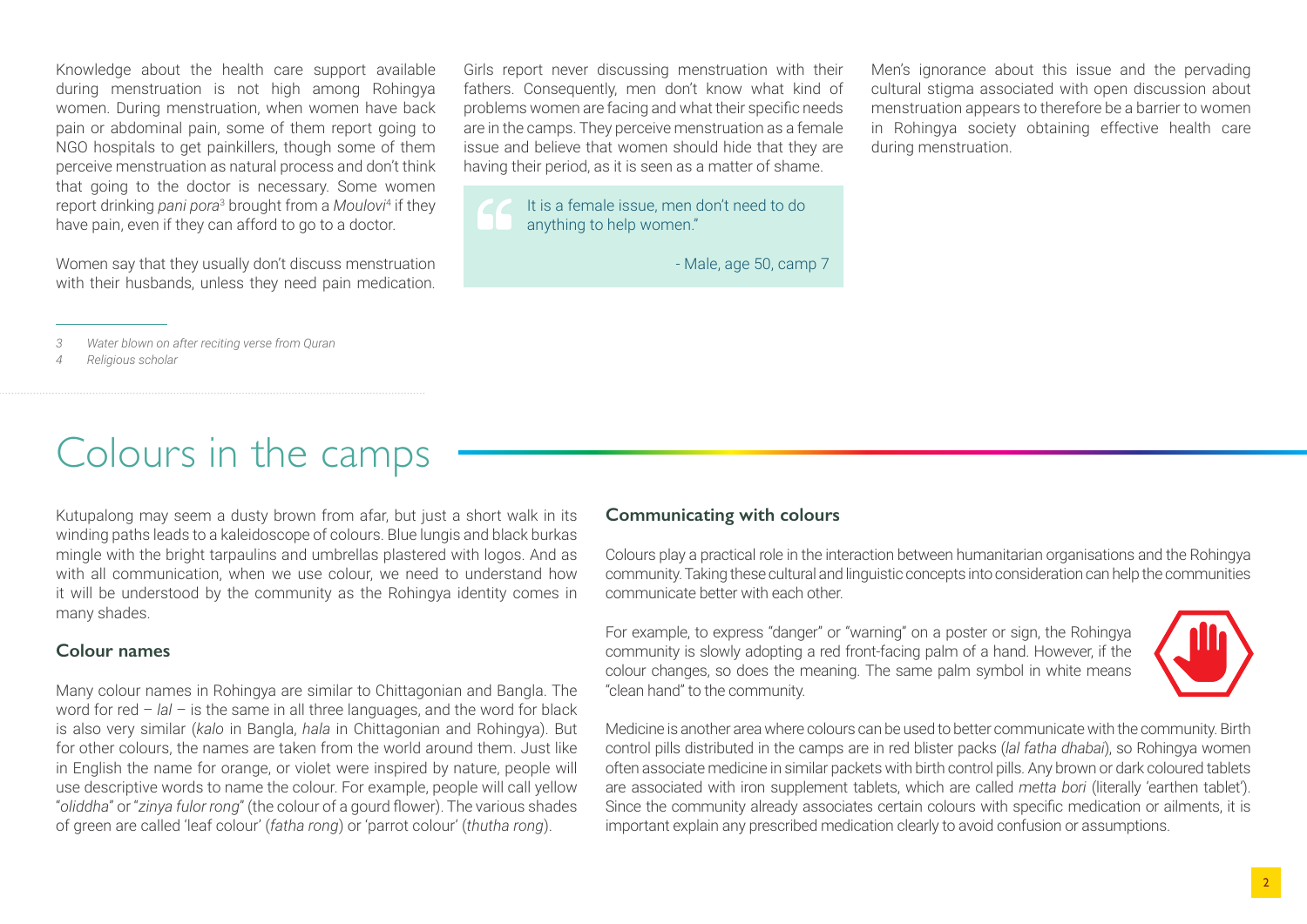Knowledge about the health care support available during menstruation is not high among Rohingya women. During menstruation, when women have back pain or abdominal pain, some of them report going to NGO hospitals to get painkillers, though some of them perceive menstruation as natural process and don't think that going to the doctor is necessary. Some women report drinking *pani pora*<sup>3</sup> brought from a *Moulovi*<sup>4</sup> if they have pain, even if they can afford to go to a doctor.

Women say that they usually don't discuss menstruation with their husbands, unless they need pain medication. Girls report never discussing menstruation with their fathers. Consequently, men don't know what kind of problems women are facing and what their specific needs are in the camps. They perceive menstruation as a female issue and believe that women should hide that they are having their period, as it is seen as a matter of shame.

It is a female issue, men don't need to do anything to help women."

- Male, age 50, camp 7

Men's ignorance about this issue and the pervading cultural stigma associated with open discussion about menstruation appears to therefore be a barrier to women in Rohingya society obtaining effective health care during menstruation.

*3 Water blown on after reciting verse from Quran*

*4 Religious scholar*

# Colours in the camps

Kutupalong may seem a dusty brown from afar, but just a short walk in its winding paths leads to a kaleidoscope of colours. Blue lungis and black burkas mingle with the bright tarpaulins and umbrellas plastered with logos. And as with all communication, when we use colour, we need to understand how it will be understood by the community as the Rohingya identity comes in many shades.

### **Colour names**

Many colour names in Rohingya are similar to Chittagonian and Bangla. The word for red – *lal* – is the same in all three languages, and the word for black is also very similar (*kalo* in Bangla, *hala* in Chittagonian and Rohingya). But for other colours, the names are taken from the world around them. Just like in English the name for orange, or violet were inspired by nature, people will use descriptive words to name the colour. For example, people will call yellow "*oliddha*" or "*zinya fulor rong*" (the colour of a gourd flower). The various shades of green are called 'leaf colour' (*fatha rong*) or 'parrot colour' (*thutha rong*).

### **Communicating with colours**

Colours play a practical role in the interaction between humanitarian organisations and the Rohingya community. Taking these cultural and linguistic concepts into consideration can help the communities communicate better with each other.

For example, to express "danger" or "warning" on a poster or sign, the Rohingya community is slowly adopting a red front-facing palm of a hand. However, if the colour changes, so does the meaning. The same palm symbol in white means "clean hand" to the community.



Medicine is another area where colours can be used to better communicate with the community. Birth control pills distributed in the camps are in red blister packs (*lal fatha dhabai*), so Rohingya women often associate medicine in similar packets with birth control pills. Any brown or dark coloured tablets are associated with iron supplement tablets, which are called *metta bori* (literally 'earthen tablet'). Since the community already associates certain colours with specific medication or ailments, it is important explain any prescribed medication clearly to avoid confusion or assumptions.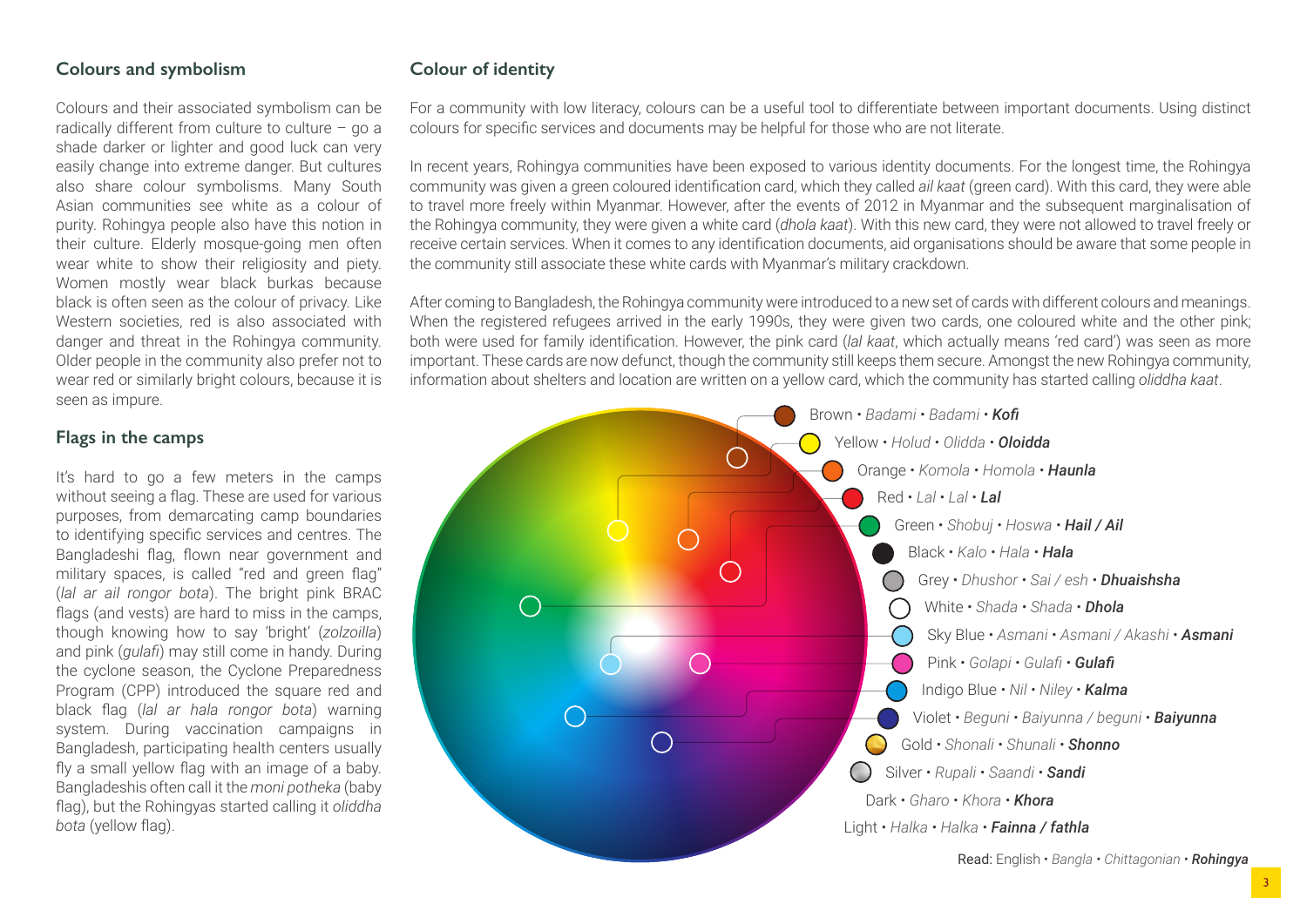### **Colours and symbolism**

Colours and their associated symbolism can be radically different from culture to culture – go a shade darker or lighter and good luck can very easily change into extreme danger. But cultures also share colour symbolisms. Many South Asian communities see white as a colour of purity. Rohingya people also have this notion in their culture. Elderly mosque-going men often wear white to show their religiosity and piety. Women mostly wear black burkas because black is often seen as the colour of privacy. Like Western societies, red is also associated with danger and threat in the Rohingya community. Older people in the community also prefer not to wear red or similarly bright colours, because it is seen as impure.

### **Flags in the camps**

It's hard to go a few meters in the camps without seeing a flag. These are used for various purposes, from demarcating camp boundaries to identifying specific services and centres. The Bangladeshi flag, flown near government and military spaces, is called "red and green flag" (*lal ar ail rongor bota*). The bright pink BRAC flags (and vests) are hard to miss in the camps, though knowing how to say 'bright' (*zolzoilla*) and pink (*gulafi*) may still come in handy. During the cyclone season, the Cyclone Preparedness Program (CPP) introduced the square red and black flag (*lal ar hala rongor bota*) warning system. During vaccination campaigns in Bangladesh, participating health centers usually fly a small yellow flag with an image of a baby. Bangladeshis often call it the *moni potheka* (baby flag), but the Rohingyas started calling it *oliddha bota* (yellow flag).

### **Colour of identity**

For a community with low literacy, colours can be a useful tool to differentiate between important documents. Using distinct colours for specific services and documents may be helpful for those who are not literate.

In recent years, Rohingya communities have been exposed to various identity documents. For the longest time, the Rohingya community was given a green coloured identification card, which they called *ail kaat* (green card). With this card, they were able to travel more freely within Myanmar. However, after the events of 2012 in Myanmar and the subsequent marginalisation of the Rohingya community, they were given a white card (*dhola kaat*). With this new card, they were not allowed to travel freely or receive certain services. When it comes to any identification documents, aid organisations should be aware that some people in the community still associate these white cards with Myanmar's military crackdown.

After coming to Bangladesh, the Rohingya community were introduced to a new set of cards with different colours and meanings. When the registered refugees arrived in the early 1990s, they were given two cards, one coloured white and the other pink; both were used for family identification. However, the pink card (*lal kaat*, which actually means 'red card') was seen as more important. These cards are now defunct, though the community still keeps them secure. Amongst the new Rohingya community, information about shelters and location are written on a yellow card, which the community has started calling *oliddha kaat*.

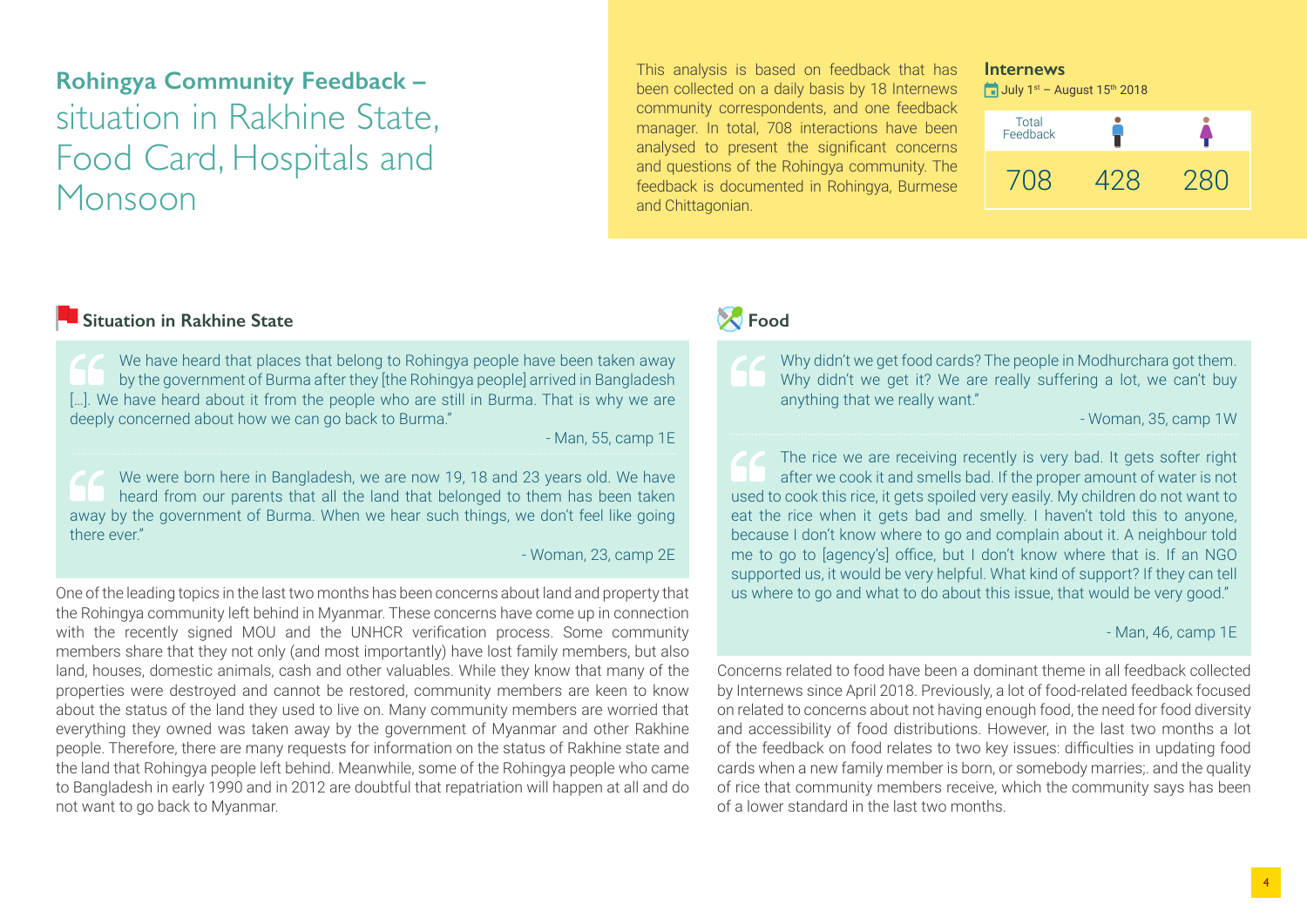## **Rohingya Community Feedback –** situation in Rakhine State, Food Card, Hospitals and Monsoon

This analysis is based on feedback that has been collected on a daily basis by 18 Internews community correspondents, and one feedback manager. In total, 708 interactions have been analysed to present the significant concerns and questions of the Rohingya community. The feedback is documented in Rohingya, Burmese and Chittagonian.

### **Internews**

 $\Box$  July 1<sup>st</sup> – August 15<sup>th</sup> 2018

| Total<br>Feedback |     |     |
|-------------------|-----|-----|
| 708               | 428 | 280 |

### **Situation in Rakhine State**

We have heard that places that belong to Rohingya people have been taken away by the government of Burma after they [the Rohingya people] arrived in Bangladesh [...]. We have heard about it from the people who are still in Burma. That is why we are deeply concerned about how we can go back to Burma."

- Man, 55, camp 1E

We were born here in Bangladesh, we are now 19, 18 and 23 years old. We have heard from our parents that all the land that belonged to them has been taken away by the government of Burma. When we hear such things, we don't feel like going there ever"

### - Woman, 23, camp 2E

One of the leading topics in the last two months has been concerns about land and property that the Rohingya community left behind in Myanmar. These concerns have come up in connection with the recently signed MOU and the UNHCR verification process. Some community members share that they not only (and most importantly) have lost family members, but also land, houses, domestic animals, cash and other valuables. While they know that many of the properties were destroyed and cannot be restored, community members are keen to know about the status of the land they used to live on. Many community members are worried that everything they owned was taken away by the government of Myanmar and other Rakhine people. Therefore, there are many requests for information on the status of Rakhine state and the land that Rohingya people left behind. Meanwhile, some of the Rohingya people who came to Bangladesh in early 1990 and in 2012 are doubtful that repatriation will happen at all and do not want to go back to Myanmar.

### *R* Food

Why didn't we get food cards? The people in Modhurchara got them. Why didn't we get it? We are really suffering a lot, we can't buy anything that we really want."

- Woman, 35, camp 1W

The rice we are receiving recently is very bad. It gets softer right after we cook it and smells bad. If the proper amount of water is not used to cook this rice, it gets spoiled very easily. My children do not want to eat the rice when it gets bad and smelly. I haven't told this to anyone, because I don't know where to go and complain about it. A neighbour told me to go to [agency's] office, but I don't know where that is. If an NGO supported us, it would be very helpful. What kind of support? If they can tell us where to go and what to do about this issue, that would be very good."

- Man, 46, camp 1E

Concerns related to food have been a dominant theme in all feedback collected by Internews since April 2018. Previously, a lot of food-related feedback focused on related to concerns about not having enough food, the need for food diversity and accessibility of food distributions. However, in the last two months a lot of the feedback on food relates to two key issues: difficulties in updating food cards when a new family member is born, or somebody marries;. and the quality of rice that community members receive, which the community says has been of a lower standard in the last two months.